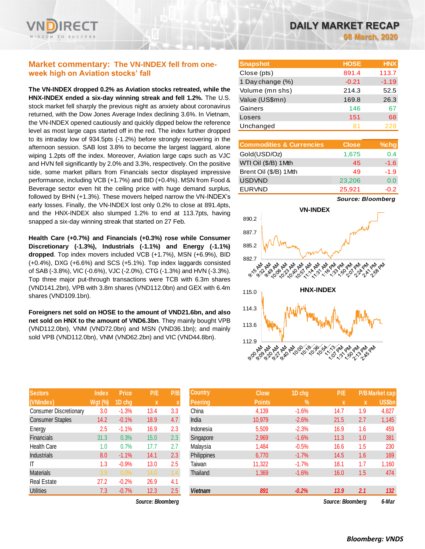

# **Market commentary: The VN-INDEX fell from oneweek high on Aviation stocks' fall**

**The VN-INDEX dropped 0.2% as Aviation stocks retreated, while the HNX-INDEX ended a six-day winning streak and fell 1.2%.** The U.S. stock market fell sharply the previous night as anxiety about coronavirus returned, with the Dow Jones Average Index declining 3.6%. In Vietnam, the VN-INDEX opened cautiously and quickly dipped below the reference level as most large caps started off in the red. The index further dropped to its intraday low of 934.5pts (-1.2%) before strongly recovering in the afternoon session. SAB lost 3.8% to become the largest laggard, alone wiping 1.2pts off the index. Moreover, Aviation large caps such as VJC and HVN fell significantly by 2.0% and 3.3%, respectively. On the positive side, some market pillars from Financials sector displayed impressive performance, including VCB (+1.7%) and BID (+0.4%). MSN from Food & Beverage sector even hit the ceiling price with huge demand surplus, followed by BHN (+1.3%). These movers helped narrow the VN-INDEX's early losses. Finally, the VN-INDEX lost only 0.2% to close at 891.4pts, and the HNX-INDEX also slumped 1.2% to end at 113.7pts, having snapped a six-day winning streak that started on 27 Feb.

**Health Care (+0.7%) and Financials (+0.3%) rose while Consumer Discretionary (-1.3%), Industrials (-1.1%) and Energy (-1.1%) dropped**. Top index movers included VCB (+1.7%), MSN (+6.9%), BID (+0.4%), DXG (+6.6%) and SCS (+5.1%). Top index laggards consisted of SAB (-3.8%), VIC (-0.6%), VJC (-2.0%), CTG (-1.3%) and HVN (-3.3%). Top three major put-through transactions were TCB with 6.3m shares (VND141.2bn), VPB with 3.8m shares (VND112.0bn) and GEX with 6.4m shares (VND109.1bn).

**Foreigners net sold on HOSE to the amount of VND21.6bn, and also net sold on HNX to the amount of VND6.3bn**. They mainly bought VPB (VND112.0bn), VNM (VND72.0bn) and MSN (VND36.1bn); and mainly sold VPB (VND112.0bn), VNM (VND62.2bn) and VIC (VND44.8bn).

| <b>Sectors</b>                | <b>Index</b>   | Price   | P/E  | P/B |
|-------------------------------|----------------|---------|------|-----|
| (VNIndex)                     | <b>Wgt (%)</b> | 1D chg  | X    | X   |
| <b>Consumer Discretionary</b> | 3.0            | $-1.3%$ | 13.4 | 3.3 |
| <b>Consumer Staples</b>       | 14.2           | $-0.1%$ | 18.9 | 4.7 |
| Energy                        | 2.5            | $-1.1%$ | 16.9 | 2.3 |
| <b>Financials</b>             | 31.3           | 0.3%    | 15.0 | 2.3 |
| Health Care                   | 1.0            | 0.7%    | 17.7 | 2.7 |
| <b>Industrials</b>            | 8.0            | $-1.1%$ | 14.1 | 2.3 |
| ΙT                            | 1.3            | $-0.9%$ | 13.0 | 2.5 |
| <b>Materials</b>              | 3.9            | 0.0%    | 14.0 | 1.4 |
| <b>Real Estate</b>            | 27.2           | $-0.2%$ | 26.9 | 4.1 |
| <b>Utilities</b>              | 7.3            | $-0.7%$ | 12.3 | 2.5 |

*Source: Bloomberg Source: Bloomberg 6-Mar*

| <b>Snapshot</b>  | <b>HOSE</b> | <b>HNX</b> |
|------------------|-------------|------------|
| Close (pts)      | 891.4       | 113.7      |
| 1 Day change (%) | $-0.21$     | $-1.19$    |
| Volume (mn shs)  | 214.3       | 52.5       |
| Value (US\$mn)   | 169.8       | 26.3       |
| Gainers          | 146         | 67         |
| Losers           | 151         | 68         |
| Unchanged        | 81          | 228        |

| <b>Commodities &amp; Currencies</b> | <b>Close</b> | %chg   |
|-------------------------------------|--------------|--------|
| Gold(USD/Oz)                        | 1,675        | 0.4    |
| WTI Oil (\$/B) 1 Mth                | 45           | $-1.6$ |
| Brent Oil (\$/B) 1Mth               | 49           | $-1.9$ |
| <b>USDVND</b>                       | 23,206       | 0.0    |
| <b>EURVND</b>                       | 25,921       | $-0.2$ |

*Source: Bloomberg*



| <b>Sectors</b>          | <b>Index</b>   | <b>Price</b> | P/E               | P/B | <b>Country</b> | <b>Close</b>  | 1D chg        | P/E               |     | <b>P/B</b> Market cap |
|-------------------------|----------------|--------------|-------------------|-----|----------------|---------------|---------------|-------------------|-----|-----------------------|
| (VNIndex)               | <b>Wgt (%)</b> | 1D chg       | $\mathbf{x}$      | X   | <b>Peering</b> | <b>Points</b> | $\frac{9}{6}$ | X                 | X   | US\$bn                |
| Consumer Discretionary  | 3.0            | $-1.3%$      | 13.4              | 3.3 | China          | 4,139         | $-1.6%$       | 14.7              | 1.9 | 4,827                 |
| <b>Consumer Staples</b> | 14.2           | $-0.1%$      | 18.9              | 4.7 | India          | 10,979        | $-2.6%$       | 21.5              | 2.7 | 1,145                 |
| Energy                  | 2.5            | $-1.1%$      | 16.9              | 2.3 | Indonesia      | 5,509         | $-2.3%$       | 16.9              | 1.6 | 459                   |
| Financials              | 31.3           | 0.3%         | 15.0              | 2.3 | Singapore      | 2,969         | $-1.6%$       | 11.3              | 1.0 | 381                   |
| Health Care             | 1.0            | 0.7%         | 17.7              | 2.7 | Malaysia       | 1,484         | $-0.5%$       | 16.6              | 1.5 | 230                   |
| Industrials             | 8.0            | $-1.1%$      | 14.1              | 2.3 | Philippines    | 6,770         | $-1.7%$       | 14.5              | 1.6 | 169                   |
| ΙT                      | 1.3            | $-0.9%$      | 13.0              | 2.5 | Taiwan         | 11,322        | $-1.7%$       | 18.1              | 1.7 | 1,160                 |
| Materials               | 3.9            | 0.0%         | 14.0              | 1.4 | Thailand       | 1,369         | $-1.6%$       | 16.0              | 1.5 | 474                   |
| Real Estate             | 27.2           | $-0.2%$      | 26.9              | 4.1 |                |               |               |                   |     |                       |
| <b>Utilities</b>        | 7.3            | $-0.7%$      | 12.3              | 2.5 | <b>Vietnam</b> | 891           | $-0.2%$       | 13.9              | 2.1 | 132                   |
|                         |                |              | Source: Bloomberg |     |                |               |               | Source: Bloombera |     | 6-Mar                 |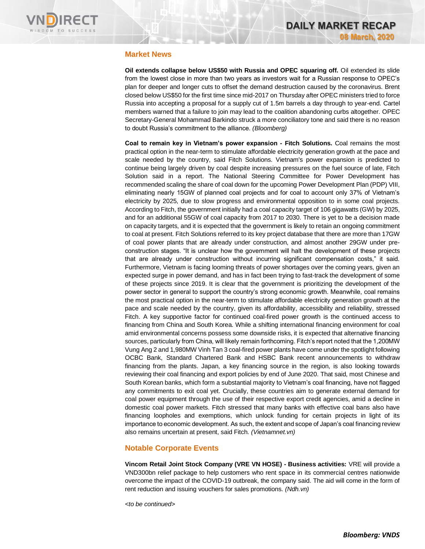

# **Market News**

**Oil extends collapse below US\$50 with Russia and OPEC squaring off.** Oil extended its slide from the lowest close in more than two years as investors wait for a Russian response to OPEC's plan for deeper and longer cuts to offset the demand destruction caused by the coronavirus. Brent closed below US\$50 for the first time since mid-2017 on Thursday after OPEC ministers tried to force Russia into accepting a proposal for a supply cut of 1.5m barrels a day through to year-end. Cartel members warned that a failure to join may lead to the coalition abandoning curbs altogether. OPEC Secretary-General Mohammad Barkindo struck a more conciliatory tone and said there is no reason to doubt Russia's commitment to the alliance. *(Bloomberg)*

**Coal to remain key in Vietnam's power expansion - Fitch Solutions.** Coal remains the most practical option in the near-term to stimulate affordable electricity generation growth at the pace and scale needed by the country, said Fitch Solutions. Vietnam's power expansion is predicted to continue being largely driven by coal despite increasing pressures on the fuel source of late, Fitch Solution said in a report. The National Steering Committee for Power Development has recommended scaling the share of coal down for the upcoming Power Development Plan (PDP) VIII, eliminating nearly 15GW of planned coal projects and for coal to account only 37% of Vietnam's electricity by 2025, due to slow progress and environmental opposition to in some coal projects. According to Fitch, the government initially had a coal capacity target of 106 gigawatts (GW) by 2025, and for an additional 55GW of coal capacity from 2017 to 2030. There is yet to be a decision made on capacity targets, and it is expected that the government is likely to retain an ongoing commitment to coal at present. Fitch Solutions referred to its key project database that there are more than 17GW of coal power plants that are already under construction, and almost another 29GW under preconstruction stages. "It is unclear how the government will halt the development of these projects that are already under construction without incurring significant compensation costs," it said. Furthermore, Vietnam is facing looming threats of power shortages over the coming years, given an expected surge in power demand, and has in fact been trying to fast-track the development of some of these projects since 2019. It is clear that the government is prioritizing the development of the power sector in general to support the country's strong economic growth. Meanwhile, coal remains the most practical option in the near-term to stimulate affordable electricity generation growth at the pace and scale needed by the country, given its affordability, accessibility and reliability, stressed Fitch. A key supportive factor for continued coal-fired power growth is the continued access to financing from China and South Korea. While a shifting international financing environment for coal amid environmental concerns possess some downside risks, it is expected that alternative financing sources, particularly from China, will likely remain forthcoming. Fitch's report noted that the 1,200MW Vung Ang 2 and 1,980MW Vinh Tan 3 coal-fired power plants have come under the spotlight following OCBC Bank, Standard Chartered Bank and HSBC Bank recent announcements to withdraw financing from the plants. Japan, a key financing source in the region, is also looking towards reviewing their coal financing and export policies by end of June 2020. That said, most Chinese and South Korean banks, which form a substantial majority to Vietnam's coal financing, have not flagged any commitments to exit coal yet. Crucially, these countries aim to generate external demand for coal power equipment through the use of their respective export credit agencies, amid a decline in domestic coal power markets. Fitch stressed that many banks with effective coal bans also have financing loopholes and exemptions, which unlock funding for certain projects in light of its importance to economic development. As such, the extent and scope of Japan's coal financing review also remains uncertain at present, said Fitch. *(Vietnamnet.vn)*

### **Notable Corporate Events**

**Vincom Retail Joint Stock Company (VRE VN HOSE) - Business activities:** VRE will provide a VND300bn relief package to help customers who rent space in its commercial centres nationwide overcome the impact of the COVID-19 outbreak, the company said. The aid will come in the form of rent reduction and issuing vouchers for sales promotions. *(Ndh.vn)*

*<to be continued>*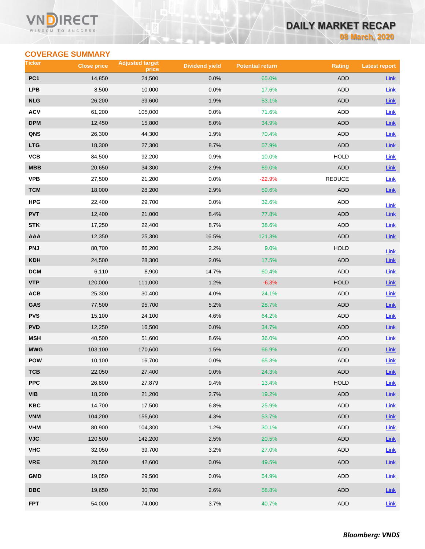### Vľ ECT WISDOM TO SUCCESS

# **DAILY MARKET RECAP**

**08 March, 2020**

# **COVERAGE SUMMARY**

| Ticker                  | <b>Close price</b> | <b>Adjusted target</b><br>price | <b>Dividend yield</b> | <b>Potential return</b> | <b>Rating</b> | <b>Latest report</b> |
|-------------------------|--------------------|---------------------------------|-----------------------|-------------------------|---------------|----------------------|
| PC <sub>1</sub>         | 14,850             | 24,500                          | 0.0%                  | 65.0%                   | <b>ADD</b>    | Link                 |
| <b>LPB</b>              | 8,500              | 10,000                          | 0.0%                  | 17.6%                   | ADD           | Link                 |
| <b>NLG</b>              | 26,200             | 39,600                          | 1.9%                  | 53.1%                   | <b>ADD</b>    | <b>Link</b>          |
| <b>ACV</b>              | 61,200             | 105,000                         | 0.0%                  | 71.6%                   | ADD           | Link                 |
| <b>DPM</b>              | 12,450             | 15,800                          | 8.0%                  | 34.9%                   | <b>ADD</b>    | Link                 |
| QNS                     | 26,300             | 44,300                          | 1.9%                  | 70.4%                   | ADD           | Link                 |
| <b>LTG</b>              | 18,300             | 27,300                          | 8.7%                  | 57.9%                   | <b>ADD</b>    | Link                 |
| VCB                     | 84,500             | 92,200                          | 0.9%                  | 10.0%                   | <b>HOLD</b>   | Link                 |
| <b>MBB</b>              | 20,650             | 34,300                          | 2.9%                  | 69.0%                   | <b>ADD</b>    | Link                 |
| <b>VPB</b>              | 27,500             | 21,200                          | 0.0%                  | $-22.9%$                | REDUCE        | Link                 |
| <b>TCM</b>              | 18,000             | 28,200                          | 2.9%                  | 59.6%                   | ADD           | Link                 |
| HPG                     | 22,400             | 29,700                          | 0.0%                  | 32.6%                   | ADD           | Link                 |
| <b>PVT</b>              | 12,400             | 21,000                          | 8.4%                  | 77.8%                   | <b>ADD</b>    | Link                 |
| <b>STK</b>              | 17,250             | 22,400                          | 8.7%                  | 38.6%                   | ADD           | Link                 |
| <b>AAA</b>              | 12,350             | 25,300                          | 16.5%                 | 121.3%                  | <b>ADD</b>    | $Link$               |
| <b>PNJ</b>              | 80,700             | 86,200                          | 2.2%                  | 9.0%                    | <b>HOLD</b>   | Link                 |
| <b>KDH</b>              | 24,500             | 28,300                          | 2.0%                  | 17.5%                   | <b>ADD</b>    | Link                 |
| <b>DCM</b>              | 6,110              | 8,900                           | 14.7%                 | 60.4%                   | ADD           | Link                 |
| <b>VTP</b>              | 120,000            | 111,000                         | 1.2%                  | $-6.3%$                 | <b>HOLD</b>   | Link                 |
| ACB                     | 25,300             | 30,400                          | 4.0%                  | 24.1%                   | ADD           | Link                 |
| GAS                     | 77,500             | 95,700                          | 5.2%                  | 28.7%                   | ADD           | <b>Link</b>          |
| <b>PVS</b>              | 15,100             | 24,100                          | 4.6%                  | 64.2%                   | ADD           | <b>Link</b>          |
| <b>PVD</b>              | 12,250             | 16,500                          | 0.0%                  | 34.7%                   | ADD           | <b>Link</b>          |
| <b>MSH</b>              | 40,500             | 51,600                          | 8.6%                  | 36.0%                   | ADD           | <b>Link</b>          |
| <b>MWG</b>              | 103,100            | 170,600                         | 1.5%                  | 66.9%                   | <b>ADD</b>    | Link                 |
| POW                     | 10,100             | 16,700                          | 0.0%                  | 65.3%                   | ADD           | Link                 |
| тсв                     | 22,050             | 27,400                          | 0.0%                  | 24.3%                   | ADD           | Link                 |
| <b>PPC</b>              | 26,800             | 27,879                          | 9.4%                  | 13.4%                   | <b>HOLD</b>   | Link                 |
| <b>VIB</b>              | 18,200             | 21,200                          | 2.7%                  | 19.2%                   | ADD           | $Link$               |
| KBC                     | 14,700             | 17,500                          | 6.8%                  | 25.9%                   | ADD           | Link                 |
| <b>VNM</b>              | 104,200            | 155,600                         | 4.3%                  | 53.7%                   | ADD           | $Link$               |
| <b>VHM</b>              | 80,900             | 104,300                         | 1.2%                  | 30.1%                   | ADD           | Link                 |
| <b>VJC</b>              | 120,500            | 142,200                         | 2.5%                  | 20.5%                   | ADD           | Link                 |
| <b>VHC</b>              | 32,050             | 39,700                          | 3.2%                  | 27.0%                   | ADD           | Link                 |
| <b>VRE</b>              | 28,500             | 42,600                          | 0.0%                  | 49.5%                   | <b>ADD</b>    | $Link$               |
| <b>GMD</b>              | 19,050             | 29,500                          | 0.0%                  | 54.9%                   | ADD           | Link                 |
| $\overline{\text{DBC}}$ | 19,650             | 30,700                          | 2.6%                  | 58.8%                   | ADD           | <b>Link</b>          |
| <b>FPT</b>              | 54,000             | 74,000                          | 3.7%                  | 40.7%                   | ADD           | Link                 |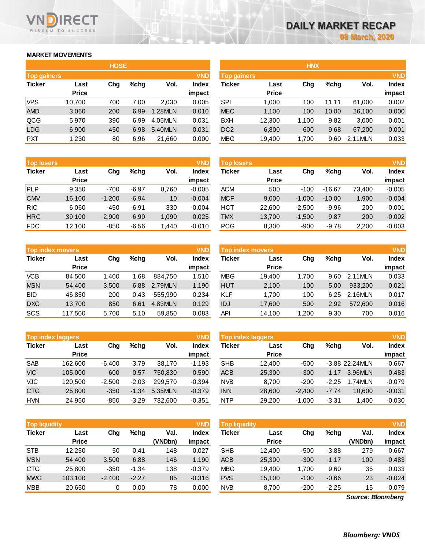# **MARKET MOVEMENTS**

WISDOM TO SUCCESS

ECT

|                    | <b>HOSE</b>  |     |      |         |              |  |  |  |  |  |  |  |  |
|--------------------|--------------|-----|------|---------|--------------|--|--|--|--|--|--|--|--|
| <b>Top gainers</b> |              |     |      |         | <b>VND</b>   |  |  |  |  |  |  |  |  |
| <b>Ticker</b>      | Last         | Cha | %chq | Vol.    | <b>Index</b> |  |  |  |  |  |  |  |  |
|                    | <b>Price</b> |     |      |         | impact       |  |  |  |  |  |  |  |  |
| <b>VPS</b>         | 10,700       | 700 | 7.00 | 2,030   | 0.005        |  |  |  |  |  |  |  |  |
| <b>AMD</b>         | 3,060        | 200 | 6.99 | 1.28MLN | 0.010        |  |  |  |  |  |  |  |  |
| QCG                | 5,970        | 390 | 6.99 | 4.05MLN | 0.031        |  |  |  |  |  |  |  |  |
| <b>LDG</b>         | 6,900        | 450 | 6.98 | 5.40MLN | 0.031        |  |  |  |  |  |  |  |  |
| <b>PXT</b>         | 1,230        | 80  | 6.96 | 21,660  | 0.000        |  |  |  |  |  |  |  |  |

| <b>VND</b><br><b>Top losers</b> |              |          |         |       |              | <b>Top losers</b> |              |          |          |        | <b>VND</b> |
|---------------------------------|--------------|----------|---------|-------|--------------|-------------------|--------------|----------|----------|--------|------------|
| <b>Ticker</b>                   | Last         | Chg      | $%$ chg | Vol.  | <b>Index</b> | Ticker            | Last         | Chg      | $%$ chg  | Vol.   | Index      |
|                                 | <b>Price</b> |          |         |       | impact       |                   | <b>Price</b> |          |          |        | impact     |
| <b>PLP</b>                      | 9.350        | $-700$   | $-6.97$ | 8.760 | $-0.005$     | <b>ACM</b>        | 500          | $-100$   | $-16.67$ | 73,400 | $-0.005$   |
| <b>CMV</b>                      | 16,100       | $-1,200$ | $-6.94$ | 10    | $-0.004$     | <b>MCF</b>        | 9.000        | $-1.000$ | $-10.00$ | 1,900  | $-0.004$   |
| <b>RIC</b>                      | 6.060        | $-450$   | $-6.91$ | 330   | $-0.004$     | HCT               | 22.600       | $-2.500$ | $-9.96$  | 200    | $-0.001$   |
| <b>HRC</b>                      | 39,100       | $-2,900$ | $-6.90$ | 1,090 | $-0.025$     | <b>TMX</b>        | 13.700       | $-1,500$ | $-9.87$  | 200    | $-0.002$   |
| <b>FDC</b>                      | 12.100       | $-850$   | $-6.56$ | 1.440 | $-0.010$     | <b>PCG</b>        | 8.300        | $-900$   | $-9.78$  | 2,200  | $-0.003$   |

|               | <b>Top index movers</b> |       |      |         | <b>VND</b>   |
|---------------|-------------------------|-------|------|---------|--------------|
| <b>Ticker</b> | Last                    | Cha   | %chq | Vol.    | <b>Index</b> |
|               | <b>Price</b>            |       |      |         | impact       |
| <b>VCB</b>    | 84,500                  | 1,400 | 1.68 | 884,750 | 1.510        |
| <b>MSN</b>    | 54,400                  | 3,500 | 6.88 | 2.79MLN | 1.190        |
| <b>BID</b>    | 46.850                  | 200   | 0.43 | 555.990 | 0.234        |
| <b>DXG</b>    | 13,700                  | 850   | 6.61 | 4.83MLN | 0.129        |
| SCS           | 117,500                 | 5,700 | 5.10 | 59,850  | 0.083        |

| <b>Top index laggers</b> |              |          |         |         | <b>VND</b>   |
|--------------------------|--------------|----------|---------|---------|--------------|
| <b>Ticker</b>            | Last         | Cha      | %chq    | Vol.    | <b>Index</b> |
|                          | <b>Price</b> |          |         |         | impact       |
| <b>SAB</b>               | 162,600      | $-6,400$ | $-3.79$ | 38,170  | $-1.193$     |
| <b>VIC</b>               | 105,000      | $-600$   | $-0.57$ | 750,830 | $-0.590$     |
| VJC                      | 120,500      | $-2,500$ | $-2.03$ | 299.570 | $-0.394$     |
| <b>CTG</b>               | 25,800       | $-350$   | $-1.34$ | 5.35MLN | $-0.379$     |
| <b>HVN</b>               | 24.950       | $-850$   | $-3.29$ | 782.600 | $-0.351$     |

| <b>Top liquidity</b> |                      |          |         | <b>VND</b>      | <b>Top liquidity</b> |            |                      |        |         | <b>VND</b>        |                 |
|----------------------|----------------------|----------|---------|-----------------|----------------------|------------|----------------------|--------|---------|-------------------|-----------------|
| <b>Ticker</b>        | Last<br><b>Price</b> | Chg      | %chg    | Val.<br>(VNDbn) | Index<br>impact      | Ticker     | Last<br><b>Price</b> | Chg    | %chq    | Val.<br>(VNDbn)   | Index<br>impact |
| <b>STB</b>           | 12,250               | 50       | 0.41    | 148             | 0.027                | <b>SHB</b> | 12.400               | $-500$ | $-3.88$ | 279               | $-0.667$        |
| <b>MSN</b>           | 54,400               | 3,500    | 6.88    | 146             | 1.190                | <b>ACB</b> | 25,300               | $-300$ | $-1.17$ | 100               | $-0.483$        |
| <b>CTG</b>           | 25,800               | $-350$   | $-1.34$ | 138             | $-0.379$             | <b>MBG</b> | 19.400               | 1.700  | 9.60    | 35                | 0.033           |
| <b>MWG</b>           | 103.100              | $-2,400$ | $-2.27$ | 85              | $-0.316$             | <b>PVS</b> | 15,100               | $-100$ | $-0.66$ | 23                | $-0.024$        |
| <b>MBB</b>           | 20,650               | 0        | 0.00    | 78              | 0.000                | <b>NVB</b> | 8,700                | $-200$ | $-2.25$ | 15                | $-0.079$        |
|                      |                      |          |         |                 |                      |            |                      |        |         | Source: Bloomberg |                 |

*Source: Bloomberg*

|                                  |              | <b>HOSE</b> |         |         |              |                    |              | <b>HNX</b> |         |         |              |
|----------------------------------|--------------|-------------|---------|---------|--------------|--------------------|--------------|------------|---------|---------|--------------|
| <b>VND</b><br><b>Top gainers</b> |              |             |         |         |              | <b>Top gainers</b> |              |            |         |         | <b>VND</b>   |
| Ticker                           | Last         | Chg         | $%$ chg | Vol.    | <b>Index</b> | <b>Ticker</b>      | Last         | Chg        | $%$ chg | Vol.    | <b>Index</b> |
|                                  | <b>Price</b> |             |         |         | impact       |                    | <b>Price</b> |            |         |         | impact       |
| VPS                              | 10,700       | 700         | 7.00    | 2,030   | 0.005        | <b>SPI</b>         | 1,000        | 100        | 11.11   | 61,000  | 0.002        |
| AMD                              | 3,060        | 200         | 6.99    | 1.28MLN | 0.010        | <b>MEC</b>         | 1,100        | 100        | 10.00   | 26,100  | 0.000        |
| QCG                              | 5,970        | 390         | 6.99    | 4.05MLN | 0.031        | <b>BXH</b>         | 12,300       | 1,100      | 9.82    | 3,000   | 0.001        |
| LDG                              | 6,900        | 450         | 6.98    | 5.40MLN | 0.031        | DC <sub>2</sub>    | 6,800        | 600        | 9.68    | 67,200  | 0.001        |
| <b>PXT</b>                       | 1,230        | 80          | 6.96    | 21,660  | 0.000        | <b>MBG</b>         | 19,400       | 1,700      | 9.60    | 2.11MLN | 0.033        |
|                                  |              |             |         |         |              |                    |              |            |         |         |              |

| <b>VND</b><br><b>Top losers</b> |              |          |         |       |              | <b>Top losers</b> |              |          |          |        | <b>VND</b>   |
|---------------------------------|--------------|----------|---------|-------|--------------|-------------------|--------------|----------|----------|--------|--------------|
| Ticker                          | Last         | Chg      | $%$ chq | Vol.  | <b>Index</b> | Ticker            | Last         | Chg      | $%$ chg  | Vol.   | <b>Index</b> |
|                                 | <b>Price</b> |          |         |       | impact       |                   | <b>Price</b> |          |          |        | impact       |
| PLP                             | 9.350        | $-700$   | $-6.97$ | 8,760 | $-0.005$     | <b>ACM</b>        | 500          | $-100$   | $-16.67$ | 73.400 | $-0.005$     |
| <b>CMV</b>                      | 16.100       | $-1,200$ | $-6.94$ | 10    | $-0.004$     | <b>MCF</b>        | 9,000        | $-1.000$ | $-10.00$ | 1,900  | $-0.004$     |
| <b>RIC</b>                      | 6.060        | $-450$   | $-6.91$ | 330   | $-0.004$     | <b>HCT</b>        | 22,600       | $-2.500$ | $-9.96$  | 200    | $-0.001$     |
| <b>HRC</b>                      | 39,100       | $-2,900$ | $-6.90$ | 1,090 | $-0.025$     | <b>TMX</b>        | 13,700       | $-1,500$ | $-9.87$  | 200    | $-0.002$     |
| <b>FDC</b>                      | 12.100       | $-850$   | $-6.56$ | 1,440 | $-0.010$     | <b>PCG</b>        | 8,300        | $-900$   | $-9.78$  | 2,200  | $-0.003$     |

|            | <b>Top index movers</b> |       |      |         | <b>VND</b>   | Top index movers |              | <b>VND</b> |         |         |              |
|------------|-------------------------|-------|------|---------|--------------|------------------|--------------|------------|---------|---------|--------------|
| Ticker     | Last                    | Chg   | %chq | Vol.    | <b>Index</b> | Ticker           | Last         | Chg        | $%$ chg | Vol.    | <b>Index</b> |
|            | <b>Price</b>            |       |      |         | impact       |                  | <b>Price</b> |            |         |         | impact       |
| VCB        | 84.500                  | 1.400 | 1.68 | 884,750 | 1.510        | <b>MBG</b>       | 19.400       | 1.700      | 9.60    | 2.11MLN | 0.033        |
| <b>MSN</b> | 54.400                  | 3.500 | 6.88 | 2.79MLN | 1.190        | <b>HUT</b>       | 2,100        | 100        | 5.00    | 933.200 | 0.021        |
| BID        | 46.850                  | 200   | 0.43 | 555.990 | 0.234        | <b>KLF</b>       | 1.700        | 100        | 6.25    | 2.16MLN | 0.017        |
| <b>DXG</b> | 13.700                  | 850   | 6.61 | 4.83MLN | 0.129        | <b>IDJ</b>       | 17,600       | 500        | 2.92    | 572,600 | 0.016        |
| SCS        | 117.500                 | 5,700 | 5.10 | 59,850  | 0.083        | API              | 14,100       | 1,200      | 9.30    | 700     | 0.016        |
|            |                         |       |      |         |              |                  |              |            |         |         |              |

|            | <b>Top index laggers</b> |          |         |         | <b>VND</b>             | <b>Top index laggers</b> |                      |          |         |                  | <b>VND</b>             |
|------------|--------------------------|----------|---------|---------|------------------------|--------------------------|----------------------|----------|---------|------------------|------------------------|
| Ticker     | Last<br><b>Price</b>     | Chg      | $%$ chq | Vol.    | <b>Index</b><br>impact | Ticker                   | Last<br><b>Price</b> | Chg      | $%$ chg | Vol.             | <b>Index</b><br>impact |
| SAB        | 162.600                  | $-6.400$ | $-3.79$ | 38.170  | $-1.193$               | <b>SHB</b>               | 12.400               | $-500$   |         | $-3.88$ 22.24MLN | $-0.667$               |
| <b>VIC</b> | 105.000                  | $-600$   | $-0.57$ | 750.830 | $-0.590$               | <b>ACB</b>               | 25,300               | $-300$   | $-1.17$ | 3.96MLN          | $-0.483$               |
| VJC        | 120.500                  | $-2.500$ | $-2.03$ | 299,570 | $-0.394$               | <b>NVB</b>               | 8.700                | $-200$   | $-2.25$ | 1.74MLN          | $-0.079$               |
| <b>CTG</b> | 25,800                   | $-350$   | $-1.34$ | 5.35MLN | $-0.379$               | <b>INN</b>               | 28,600               | $-2.400$ | $-7.74$ | 10.600           | $-0.031$               |
| <b>HVN</b> | 24.950                   | $-850$   | $-3.29$ | 782.600 | $-0.351$               | <b>NTP</b>               | 29,200               | $-1.000$ | $-3.31$ | 1.400            | $-0.030$               |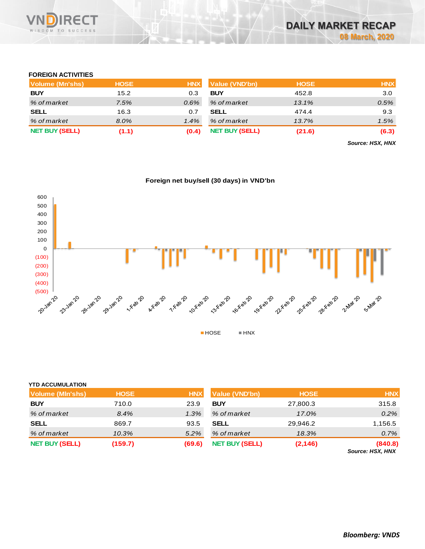

# **FOREIGN ACTIVITIES**

| Volume (Mn'shs)       | <b>HOSE</b> | <b>HNX</b> | <b>Value (VND'bn)</b> | <b>HOSE</b> | <b>HNX</b> |
|-----------------------|-------------|------------|-----------------------|-------------|------------|
| <b>BUY</b>            | 15.2        | 0.3        | <b>BUY</b>            | 452.8       | 3.0        |
| % of market           | 7.5%        | $0.6\%$    | % of market           | 13.1%       | 0.5%       |
| <b>SELL</b>           | 16.3        | 0.7        | <b>SELL</b>           | 474.4       | 9.3        |
| % of market           | 8.0%        | $1.4\%$    | % of market           | 13.7%       | 1.5%       |
| <b>NET BUY (SELL)</b> | (1.1)       | (0.4)      | <b>NET BUY (SELL)</b> | (21.6)      | (6.3)      |

*Source: HSX, HNX*



| <b>YTD ACCUMULATION</b> |             |            |                       |             |                             |
|-------------------------|-------------|------------|-----------------------|-------------|-----------------------------|
| Volume (MIn'shs)        | <b>HOSE</b> | <b>HNX</b> | <b>Value (VND'bn)</b> | <b>HOSE</b> | <b>HNX</b>                  |
| <b>BUY</b>              | 710.0       | 23.9       | <b>BUY</b>            | 27,800.3    | 315.8                       |
| % of market             | 8.4%        | 1.3%       | % of market           | 17.0%       | 0.2%                        |
| <b>SELL</b>             | 869.7       | 93.5       | <b>SELL</b>           | 29,946.2    | 1,156.5                     |
| % of market             | 10.3%       | 5.2%       | % of market           | 18.3%       | 0.7%                        |
| <b>NET BUY (SELL)</b>   | (159.7)     | (69.6)     | <b>NET BUY (SELL)</b> | (2, 146)    | (840.8)<br>Source: HSX, HNX |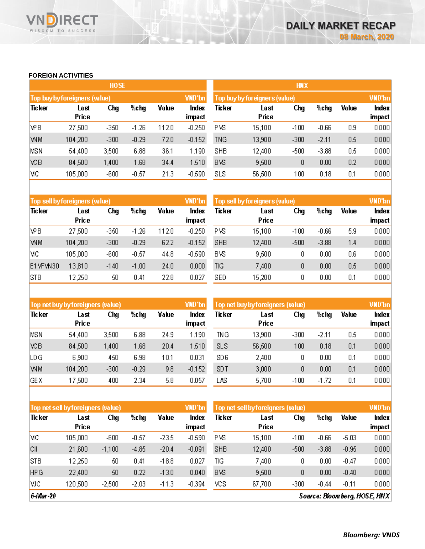# **FOREIGN ACTIVITIES**

WISDOM TO SUCCESS

**RECT** 

Vľ

|            |                               | <b>HOSE</b> |         |       |                 | <b>HNX</b>                    |               |        |         |       |                 |  |
|------------|-------------------------------|-------------|---------|-------|-----------------|-------------------------------|---------------|--------|---------|-------|-----------------|--|
|            | Top buy by foreigners (value) |             |         |       | VND'bn          | Top buy by foreigners (value) |               |        |         |       |                 |  |
| Ticker     | Last<br>Price                 | Chg         | %chg    | Value | Index<br>impact | Ticker                        | Last<br>Price | Chg    | %chg    | Value | Index<br>impact |  |
| <b>VPB</b> | 27,500                        | $-350$      | $-1.26$ | 112.0 | $-0.250$        | PVS                           | 15,100        | $-100$ | $-0.66$ | 0.9   | 0.000           |  |
| <b>WM</b>  | 104,200                       | $-300$      | $-0.29$ | 72.0  | $-0.152$        | <b>TNG</b>                    | 13,900        | $-300$ | $-2.11$ | 0.5   | 0.000           |  |
| <b>MSN</b> | 54,400                        | 3,500       | 6.88    | 36.1  | 1.190           | <b>SHB</b>                    | 12,400        | $-500$ | $-3.88$ | 0.5   | 0.000           |  |
| <b>VCB</b> | 84,500                        | 1,400       | 1.68    | 34.4  | 1.510           | <b>BVS</b>                    | 9,500         | 0      | 0.00    | 0.2   | 0.000           |  |
| мс         | 105,000                       | $-600$      | $-0.57$ | 21.3  | $-0.590$        | <b>SLS</b>                    | 56,500        | 100    | 0.18    | 0.1   | 0.000           |  |

|            | Top sell by foreigners (value) |        |         |       | VND'bn   | <b>VND'bn</b><br>Top sell by foreigners (value) |        |        |          |       |        |
|------------|--------------------------------|--------|---------|-------|----------|-------------------------------------------------|--------|--------|----------|-------|--------|
| Ticker     | Last                           | Chg    | %chg    | Value | Index    | Ticker                                          | Last   | Chg    | %chg     | Value | Index  |
|            | Price                          |        |         |       | impact   |                                                 | Price  |        |          |       | impact |
| <b>VPB</b> | 27,500                         | $-350$ | $-1.26$ | 112.0 | $-0.250$ | PVS                                             | 15,100 | $-100$ | $-0.66$  | 5.9   | 0.000  |
| <b>WM</b>  | 104.200                        | $-300$ | $-0.29$ | 62.2  | $-0.152$ | <b>SHB</b>                                      | 12,400 | $-500$ | $-3.88$  | 1.4   | 0.000  |
| МC         | 105,000                        | $-600$ | $-0.57$ | 44.8  | $-0.590$ | <b>BVS</b>                                      | 9,500  | 0      | $0.00\,$ | 0.6   | 0.000  |
| E1VFVN30   | 13,810                         | $-140$ | $-1.00$ | 24.0  | 0.000    | ΤIG                                             | 7,400  | 0      | 0.00     | 0.5   | 0.000  |
| <b>STB</b> | 12,250                         | 50     | 0.41    | 22.8  | 0.027    | <b>SED</b>                                      | 15,200 | 0      | 0.00     | 0.1   | 0.000  |

|            | Top net buy by foreigners (value) |        |         |       | VND'bn          | Top net buy by foreigners (value). |               | <b>VND'bn</b> |          |       |                 |
|------------|-----------------------------------|--------|---------|-------|-----------------|------------------------------------|---------------|---------------|----------|-------|-----------------|
| Ticker     | Last<br>Price                     | Chg    | %chg    | Value | Index<br>impact | Ticker                             | Last<br>Price | Chg           | %chg     | Value | Index<br>impact |
| MSN        | 54,400                            | 3,500  | 6.88    | 24.9  | 1.190           | TNG                                | 13,900        | $-300$        | $-2.11$  | 0.5   | 0.000           |
| ΧCΒ        | 84,500                            | 1,400  | 1.68    | 20.4  | 1.510.          | <b>SLS</b>                         | 56,500        | 100           | 0.18     | 0.1   | 0.000           |
| LD G       | 6,900                             | 450    | 6.98    | 10.1  | 0.031           | SD <sub>6</sub>                    | 2,400         | 0             | $0.00\,$ | 0.1   | 0.000           |
| WM         | 104,200                           | $-300$ | $-0.29$ | 9.8   | $-0.152$        | SD T                               | 3,000         | 0             | 0.00     | 0.1   | 0.000           |
| <b>GEX</b> | 17,500                            | 400    | 2.34    | 5.8   | 0.057           | LAS                                | 5,700         | $-100$        | $-1.72$  | 0.1   | 0.000           |

|            | Top net sel byforeigners (value) |          |         |         | VND'bn   | Top net sell by foreigners (value) |        | <b>VND'bn</b> |           |         |        |
|------------|----------------------------------|----------|---------|---------|----------|------------------------------------|--------|---------------|-----------|---------|--------|
| Ticker     | Last                             | Chg      | %chg    | Value   | Index    | Ticker                             | Last   | Chg           | %chg      | Value   | Index  |
|            | Price                            |          |         |         | impact   |                                    | Price  |               |           |         | impact |
| МC         | 105,000                          | $-600$   | $-0.57$ | $-23.5$ | $-0.590$ | PVS                                | 15,100 | $-100$        | $-0.66$   | $-5.03$ | 0.000  |
| CII        | 21,600                           | $-1,100$ | $-4.85$ | $-20.4$ | $-0.091$ | <b>SHB</b>                         | 12,400 | $-500$        | $-3.88$   | $-0.95$ | 0.000  |
| <b>STB</b> | 12,250                           | 50       | 0.41    | $-18.8$ | 0.027    | ΤIG                                | 7,400  | 0             | $_{0.00}$ | $-0.47$ | 0.000  |
| <b>HPG</b> | 22,400                           | 50       | 0.22    | $-13.0$ | 0.040    | <b>BVS</b>                         | 9,500  | 0             | 0.00      | $-0.40$ | 0.000  |
| VJC.       | 120,500                          | $-2,500$ | $-2.03$ | $-11.3$ | $-0.394$ | vcs                                | 67,700 | $-300$        | $-0.44$   | $-0.11$ | 0.000  |

 $6$ -Mar $-20$ 

Source: Bloomberg, HOSE, HNX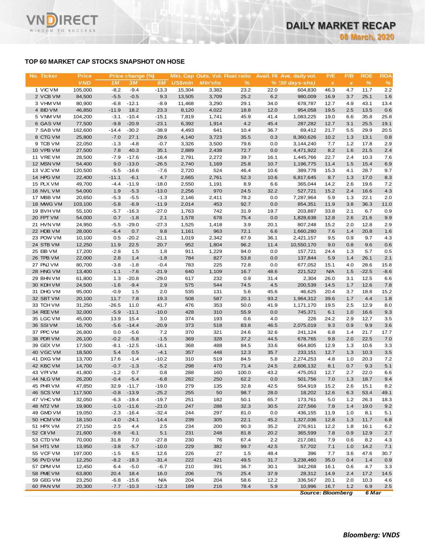# **TOP 60 MARKET CAP STOCKS SNAPSHOT ON HOSE**

**RECT** 

WISDOM TO SUCCESS

VN

| No. Ticker             | <b>Price</b>      |                  | Price change (%)   |                   |                |                |              |              | Mkt. Cap Outs. Vol. Float ratio Avail. Fil Ave. daily vol. | P/E          | P/B            | <b>ROE</b>   | <b>ROA</b>    |
|------------------------|-------------------|------------------|--------------------|-------------------|----------------|----------------|--------------|--------------|------------------------------------------------------------|--------------|----------------|--------------|---------------|
|                        | <b>VND</b>        | 1M               | 3M                 | 6M                | <b>US\$mln</b> | <b>MIn'shs</b> | %            |              | $% (30 days-shs)$                                          | $\pmb{\chi}$ | $\pmb{\times}$ | $\%$         | $\frac{9}{6}$ |
| 1 VIC VM               | 105,000           | $-8.2$           | $-9.4$             | $-13.3$           | 15,304         | 3,382          | 23.2         | 22.0         | 604,830                                                    | 46.3         | 4.7            | 11.7         | 2.2           |
| 2 VCB VM               | 84,500            | $-5.5$           | $-0.5$             | 9.3               | 13,505         | 3,709          | 25.2         | 6.2          | 980,009                                                    | 16.9         | 3.7            | 25.1         | 1.6           |
| 3 VHM VM               | 80,900            | $-6.8$           | $-12.1$            | $-8.9$            | 11,468         | 3,290          | 29.1         | 34.0         | 678,787                                                    | 12.7         | 4.9            | 43.1         | 13.4          |
| 4 BID VM               | 46,850            | $-11.9$          | 18.2               | 23.3<br>$-15.1$   | 8,120          | 4,022          | 18.8<br>45.9 | 12.0         | 954,058                                                    | 19.5<br>19.0 | 2.5            | 13.5<br>35.8 | 0.6<br>25.8   |
| 5 VNM VM<br>6 GAS VM   | 104,200<br>77,500 | $-3.1$<br>$-9.8$ | $-10.4$<br>$-20.9$ | $-23.1$           | 7,819<br>6,392 | 1,741<br>1,914 | 4.2          | 41.4<br>45.4 | 1,083,225<br>287,282                                       | 12.7         | 6.6<br>3.1     | 25.5         | 19.1          |
| 7 SAB VM               | 162,600           | $-14.4$          | $-30.2$            | $-38.9$           | 4,493          | 641            | 10.4         | 36.7         | 69,412                                                     | 21.7         | 5.5            | 29.9         | 20.5          |
| 8 CTG VM               | 25,800            | $-7.0$           | 27.1               | 29.6              | 4,140          | 3,723          | 35.5         | 0.3          | 8,360,626                                                  | 10.2         | 1.3            | 13.1         | 0.8           |
| 9 TCB VM               | 22,050            | $-1.3$           | $-4.8$             | $-0.7$            | 3,326          | 3,500          | 79.6         | 0.0          | 3,144,240                                                  | 7.7          | 1.2            | 17.8         | 2.9           |
| 10 VPB VM              | 27,500            | 7.8              | 40.3               | 35.1              | 2,889          | 2,438          | 72.7         | 0.0          | 4,471,922                                                  | 8.2          | 1.6            | 21.5         | 2.4           |
| 11 VRE VM              | 28,500            | $-7.9$           | $-17.6$            | $-16.4$           | 2,791          | 2,272          | 39.7         | 16.1         | 1,445,766                                                  | 22.7         | 2.4            | 10.3         | 7.6           |
| 12 MSN VM              | 54,400            | 9.0              | $-13.0$            | $-26.5$           | 2,740          | 1,169          | 25.8         | 10.7         | 1,196,775                                                  | 11.4         | 1.5            | 15.4         | 6.9           |
| 13 VJC VM              | 120,500           | $-5.5$           | $-16.6$            | $-7.6$            | 2,720          | 524            | 46.4         | 10.6         | 389,778                                                    | 15.3         | 4.1            | 28.7         | 9.7           |
| 14 HPG VM              | 22,400            | $-11.1$          | $-6.1$             | 4.7               | 2,665          | 2,761          | 52.3         | 10.6         | 6,817,645                                                  | 8.7          | 1.3            | 17.0         | 8.3           |
| 15 PLX VM              | 49,700            | $-4.4$           | $-11.9$            | $-18.0$           | 2,550          | 1,191          | 8.9          | 6.6          | 365,044                                                    | 14.2         | 2.6            | 19.6         | 7.2           |
| 16 NVL VM              | 54,000            | 1.9              | $-5.3$             | $-13.0$           | 2,256          | 970            | 24.5         | 32.2         | 527,721                                                    | 15.2         | 2.4            | 16.6         | 4.3           |
| 17 MBB VM<br>18 MWG VM | 20,650<br>103,100 | $-5.3$<br>$-5.8$ | $-5.5$<br>$-6.9$   | $-1.3$<br>$-11.9$ | 2,146<br>2,014 | 2,411<br>453   | 78.2<br>92.7 | 0.0<br>0.0   | 7,287,964<br>854,351                                       | 5.9<br>11.9  | 1.3<br>3.8     | 22.1<br>36.3 | 2.0<br>11.0   |
| 19 BVHVM               | 55,100            | $-5.7$           | $-16.3$            | $-27.0$           | 1,763          | 742            | 31.9         | 19.7         | 203,887                                                    | 33.8         | 2.1            | 6.7          | 0.9           |
| 20 FPT VM              | 54,000            | 0.7              | $-1.8$             | 2.1               | 1,578          | 678            | 75.4         | 0.0          | 1,828,638                                                  | 12.8         | 2.6            | 21.6         | 9.9           |
| 21 HVN VM              | 24,950            | $-5.5$           | $-29.0$            | $-27.3$           | 1,525          | 1,418          | 3.9          | 20.1         | 807,248                                                    | 15.2         | 2.0            | 12.8         | 2.9           |
| 22 HDB VM              | 28,000            | $-6.4$           | 0.7                | 9.8               | 1,161          | 963            | 72.1         | 6.6          | 1,660,280                                                  | 7.6          | 1.4            | 20.8         | 1.6           |
| 23 POW VM              | 10,100            | 0.5              | $-20.2$            | $-21.1$           | 1,019          | 2,342          | 87.9         | 36.1         | 2,421,157                                                  | 9.5          | 0.9            | 9.7          | 4.3           |
| 24 STB VM              | 12,250            | 11.9             | 22.5               | 20.7              | 952            | 1,804          | 96.2         | 11.4         | 10,550,170                                                 | 9.0          | 0.8            | 9.6          | 0.6           |
| 25 EIB VM              | 17,200            | $-2.8$           | 1.5                | 1.8               | 911            | 1,229          | 94.0         | 0.0          | 157,721                                                    | 24.4         | 1.3            | 5.7          | 0.5           |
| 26 TPB VM              | 22,000            | 2.8              | 1.4                | $-1.8$            | 784            | 827            | 53.8         | 0.0          | 137,844                                                    | 5.9          | 1.4            | 26.1         | 2.1           |
| 27 PNJ VM              | 80,700            | $-3.8$           | $-1.8$             | $-0.4$            | 783            | 225            | 72.8         | 0.0          | 677,052                                                    | 15.1         | 4.0            | 28.6         | 15.8          |
| 28 HNG VM              | 13,400            | $-1.1$           | $-7.6$             | $-21.9$           | 640            | 1,109          | 16.7         | 48.6         | 221,522                                                    | <b>N/A</b>   | 1.5            | $-22.5$      | $-8.6$        |
| 29 BHN VM              | 61,800            | 1.3              | $-20.8$            | $-29.0$           | 617            | 232            | 0.9          | 31.4         | 2,304                                                      | 26.0         | 3.1            | 12.5         | 6.6           |
| 30 KDH VM              | 24,500            | $-1.6$           | $-9.4$             | 2.9               | 575            | 544            | 74.5         | 4.5          | 200,539                                                    | 14.5         | 1.7            | 12.6         | 7.8           |
| 31 DHG VM<br>32 SBT VM | 95,000<br>20,100  | $-0.9$<br>11.7   | 1.5<br>7.8         | 2.0<br>19.3       | 535<br>508     | 131<br>587     | 5.6<br>20.1  | 45.6<br>93.2 | 46,625<br>1,964,312                                        | 20.4<br>39.6 | 3.7<br>1.7     | 18.8<br>4.4  | 15.2<br>1.8   |
| 33 TCH VM              | 31,250            | $-26.5$          | 11.0               | 41.7              | 476            | 353            | 50.0         | 41.9         | 1,171,170                                                  | 19.5         | 2.5            | 12.9         | 8.0           |
| 34 REE VM              | 32,000            | $-5.9$           | $-11.1$            | $-10.0$           | 428            | 310            | 55.9         | 0.0          | 745,371                                                    | 6.1          | 1.0            | 16.6         | 9.3           |
| 35 LGC VM              | 45,000            | 13.9             | 15.4               | 3.0               | 374            | 193            | 0.6          | 4.0          | 226                                                        | 24.2         | 2.9            | 12.7         | 3.5           |
| 36 SSIVM               | 16,700            | $-5.6$           | $-14.4$            | $-20.9$           | 373            | 518            | 83.8         | 46.5         | 2,075,019                                                  | 9.3          | 0.9            | 9.9          | 3.6           |
| 37 PPC VM              | 26,800            | 0.0              | $-5.6$             | 7.2               | 370            | 321            | 24.6         | 32.6         | 241,124                                                    | 6.8          | 1.4            | 21.7         | 17.7          |
| 38 PDR VM              | 26,100            | $-0.2$           | $-5.8$             | $-1.5$            | 369            | 328            | 37.2         | 44.5         | 678,765                                                    | 9.8          | 2.0            | 22.5         | 7.0           |
| 39 GEX VM              | 17,500            | $-8.1$           | $-12.5$            | $-16.1$           | 368            | 488            | 84.5         | 33.6         | 664,805                                                    | 12.9         | 1.3            | 10.6         | 3.3           |
| 40 VGC VM              | 18,500            | 5.4              | 0.5                | $-4.1$            | 357            | 448            | 12.3         | 35.7         | 233,151                                                    | 12.7         | 1.3            | 10.3         | 3.5           |
| 41 DXG VM              | 13,700            | 17.6             | $-1.4$             | $-10.2$           | 310            | 519            | 84.5         | 5.8          | 2,274,253                                                  | 4.8          | 1.0            | 20.3         | 7.2           |
| 42 KBC VM              | 14,700            | $-0.7$           | $-1.3$             | $-5.2$            | 298            | 470            | 71.4         | 24.5         | 2,606,132                                                  | 8.1          | 0.7            | 9.3          | 5.1           |
| 43 VPIVM               | 41,800            | $-1.2$           | 0.7                | 0.8               | 288            | 160            | 100.0        | 43.2         | 475,053                                                    | 12.7         | 2.7            | 22.0         | 6.6           |
| 44 NLG VM<br>45 PHR VM | 26,200<br>47,850  | $-0.4$<br>32.9   | $-5.4$<br>$-11.7$  | $-6.8$<br>$-19.0$ | 282<br>279     | 250<br>135     | 62.2<br>32.8 | 0.0<br>42.5  | 501,756<br>554,919                                         | 7.0          | 1.3            | 18.7<br>15.1 | 9.4<br>8.2    |
| 46 SCS VM              | 117,500           | $-0.8$           | $-13.9$            | $-25.2$           | 255            | 50             | 98.7         | 28.0         | 18,202                                                     | 15.2<br>12.6 | 2.6<br>6.3     | 53.4         | 49.1          |
| 47 VHC VM              | 32,050            | $-6.3$           | $-19.4$            | $-19.7$           | 251            | 182            | 50.1         | 65.7         | 173,761                                                    | 5.0          | 1.2            | 26.3         | 18.3          |
| 48 NT2 VM              | 19,900            | $-1.0$           | $-11.6$            | $-21.0$           | 247            | 288            | 32.3         | 30.5         | 227,566                                                    | 7.8          | 1.4            | 19.0         | 9.2           |
| 49 GMD VM              | 19,050            | $-2.3$           | $-16.4$            | $-32.4$           | 244            | 297            | 81.0         | 0.0          | 436,155                                                    | 11.9         | 1.0            | 8.1          | 5.1           |
| 50 HCM VM              | 18,150            | $-4.0$           | $-24.1$            | $-14.4$           | 239            | 305            | 22.1         | 45.2         | 1,327,036                                                  | 12.8         | 1.3            | 11.7         | 6.8           |
| 51 HPX VM              | 27,150            | 2.5              | 4.4                | 2.5               | 234            | 200            | 90.3         | 35.2         | 276,911                                                    | 12.2         | 1.8            | 16.1         | 6.2           |
| 52 CII VM              | 21,600            | $-9.8$           | $-6.1$             | 5.1               | 231            | 248            | 81.8         | 20.2         | 365,599                                                    | 7.8          | 0.9            | 12.9         | 2.7           |
| 53 CTD VM              | 70,000            | 31.8             | 7.0                | $-27.8$           | 230            | 76             | 67.4         | 2.2          | 217,081                                                    | 7.9          | 0.6            | 8.2          | 4.3           |
| 54 HT1 VM              | 13,950            | $-3.8$           | $-5.7$             | $-10.0$           | 229            | 382            | 99.7         | 42.5         | 57,702                                                     | 7.1          | 1.0            | 14.2         | 7.1           |
| 55 VCF VM              | 197,000           | $-1.5$           | 6.5                | 12.6              | 226            | 27             | 1.5          | 48.4         | 396                                                        | 7.7          | 3.6            | 47.6         | 30.7          |
| 56 PVD VM              | 12,250            | $-8.2$           | $-18.3$            | $-31.4$           | 222            | 421            | 49.5         | 31.7         | 3,238,460                                                  | 35.0         | 0.4            | 1.4          | 0.9           |
| 57 DPM VM              | 12,450            | 6.4              | $-5.0$             | $-6.7$            | 210            | 391            | 36.7         | 30.1         | 342,268                                                    | 16.1         | 0.6            | 4.7          | 3.3           |
| 58 PME VM              | 63,800            | 20.4             | 18.4               | 16.0              | 206            | 75             | 25.4         | 37.9         | 28,312                                                     | 14.9         | 2.4            | 17.2         | 14.5          |
| 59 GEG VM              | 23,250            | $-6.8$           | $-15.6$            | <b>N/A</b>        | 204            | 204            | 58.6         | 12.2         | 336,567                                                    | 20.1         | 2.0            | 10.3         | 4.6<br>2.5    |
| 60 PAN VM              | 20,300            | $-7.7$           | $-10.3$            | $-12.3$           | 189            | 216            | 78.4         | 5.9          | 10,996                                                     | 16.7         | 1.2            | 6.9          |               |